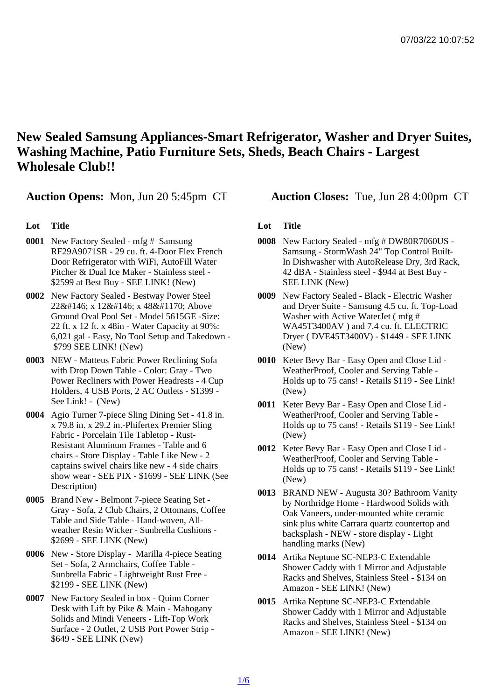New Sealed Samsung Appliances-Smart Refrigerator, Washer and Dryer Suites, Washing Machine, Patio Furniture Sets, Sheds, Beach Chairs - Largest Wholesale Club!!

Auction Opens: Mon, Jun 20 5:45pm CT Auction Closes: Tue, Jun 28 4:00pm CT

## Lot Title

- 0001 New Factory Sealed mfg # Samsung RF29A9071SR - 29 cu. ft. 4-Door Flex French Door Refrigerator with WiFi, AutoFill Water Pitcher & Dual Ice Maker - Stainless steel - \$2599 at Best Buy - SEE LINK! (New)
- 0002 New Factory Sealed Bestway Power Steel 22' x 12' x 48Ғ Above Ground Oval Pool Set - Model 5615GE -Size: 22 ft. x 12 ft. x 48in - Water Capacity at 90%: 6,021 gal - Easy, No Tool Setup and Takedown - \$799 SEE LINK! (New)
- 0003 NEW Matteus Fabric Power Reclining Sofa with Drop Down Table - Color: Gray - Two Power Recliners with Power Headrests - 4 Cup Holders, 4 USB Ports, 2 AC Outlets - \$1399 - See Link! - (New)
- 0004 Agio Turner 7-piece Sling Dining Set 41.8 in. x 79.8 in. x 29.2 in.-Phifertex Premier Sling Fabric - Porcelain Tile Tabletop - Rust-Resistant Aluminum Frames - Table and 6 chairs - Store Display - Table Like New - 2 captains swivel chairs like new - 4 side chairs show wear - SEE PIX - \$1699 - SEE LINK (See Description)
- 0005 Brand New Belmont 7-piece Seating Set Gray - Sofa, 2 Club Chairs, 2 Ottomans, Coffee Table and Side Table - Hand-woven, Allweather Resin Wicker - Sunbrella Cushions - \$2699 - SEE LINK (New)
- 0006 New Store Display Marilla 4-piece Seating Set - Sofa, 2 Armchairs, Coffee Table - Sunbrella Fabric - Lightweight Rust Free - \$2199 - SEE LINK (New)
- 0007 New Factory Sealed in box Quinn Corner Desk with Lift by Pike & Main - Mahogany Solids and Mindi Veneers - Lift-Top Work Surface - 2 Outlet, 2 USB Port Power Strip - \$649 - SEE LINK (New)

## Lot Title

- 0008 New Factory Sealed mfg # DW80R7060US Samsung - StormWash 24" Top Control Built-In Dishwasher with AutoRelease Dry, 3rd Rack, 42 dBA - Stainless steel - \$944 at Best Buy - SEE LINK (New)
- 0009 New Factory Sealed Black Electric Washer and Dryer Suite - Samsung 4.5 cu. ft. Top-Load Washer with Active WaterJet ( mfg # WA45T3400AV ) and 7.4 cu. ft. ELECTRIC Dryer ( DVE45T3400V) - \$1449 - SEE LINK (New)
- 0010 Keter Bevy Bar Easy Open and Close Lid WeatherProof, Cooler and Serving Table - Holds up to 75 cans! - Retails \$119 - See Link! (New)
- 0011 Keter Bevy Bar Easy Open and Close Lid WeatherProof, Cooler and Serving Table - Holds up to 75 cans! - Retails \$119 - See Link! (New)
- 0012 Keter Bevy Bar Easy Open and Close Lid WeatherProof, Cooler and Serving Table - Holds up to 75 cans! - Retails \$119 - See Link! (New)
- 0013 BRAND NEW Augusta 30? Bathroom Vanity by Northridge Home - Hardwood Solids with Oak Vaneers, under-mounted white ceramic sink plus white Carrara quartz countertop and backsplash - NEW - store display - Light handling marks (New)
- 0014 Artika Neptune SC-NEP3-C Extendable Shower Caddy with 1 Mirror and Adjustable Racks and Shelves, Stainless Steel - \$134 on Amazon - SEE LINK! (New)
- 0015 Artika Neptune SC-NEP3-C Extendable Shower Caddy with 1 Mirror and Adjustable Racks and Shelves, Stainless Steel - \$134 on Amazon - SEE LINK! (New)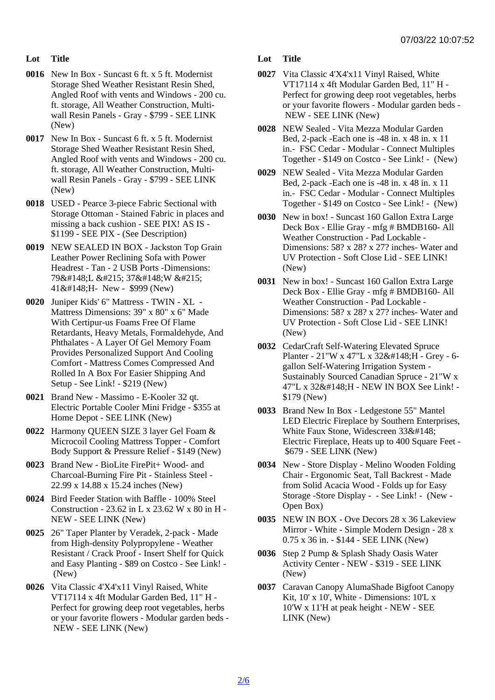Lot Title

- 0016 New In Box Suncast 6 ft. x 5 ft. Modernist Storage Shed Weather Resistant Resin Shed, Angled Roof with vents and Windows - 200 cu. ft. storage, All Weather Construction, Multiwall Resin Panels - Gray - \$799 - SEE LINK (New)
- 0017 New In Box Suncast 6 ft. x 5 ft. Modernist Storage Shed Weather Resistant Resin Shed, Angled Roof with vents and Windows - 200 cu. ft. storage, All Weather Construction, Multiwall Resin Panels - Gray - \$799 - SEE LINK (New)
- 0018 USED Pearce 3-piece Fabric Sectional with Storage Ottoman - Stained Fabric in places and missing a back cushion - SEE PIX! AS IS - \$1199 - SEE PIX - (See Description)
- 0019 NEW SEALED IN BOX Jackston Top Grain Leather Power Reclining Sofa with Power Headrest - Tan - 2 USB Ports -Dimensions: 79"L × 37"W × 41"H- New - \$999 (New)
- 0020 Juniper Kids' 6" Mattress TWIN XL Mattress Dimensions: 39" x 80" x 6" Made With Certipur-us Foams Free Of Flame Retardants, Heavy Metals, Formaldehyde, And Phthalates - A Layer Of Gel Memory Foam Provides Personalized Support And Cooling Comfort - Mattress Comes Compressed And Rolled In A Box For Easier Shipping And Setup - See Link! - \$219 (New)
- 0021 Brand New Massimo E-Kooler 32 qt. Electric Portable Cooler Mini Fridge - \$355 at Home Depot - SEE LINK (New)
- 0022 Harmony QUEEN SIZE 3 layer Gel Foam & Microcoil Cooling Mattress Topper - Comfort Body Support & Pressure Relief - \$149 (New)
- 0023 Brand New BioLite FirePit+ Wood- and Charcoal-Burning Fire Pit - Stainless Steel - 22.99 x 14.88 x 15.24 inches (New)
- 0024 Bird Feeder Station with Baffle 100% Steel Construction - 23.62 in L x 23.62 W x 80 in H - NEW - SEE LINK (New)
- 0025 26" Taper Planter by Veradek, 2-pack Made from High-density Polypropylene - Weather Resistant / Crack Proof - Insert Shelf for Quick and Easy Planting - \$89 on Costco - See Link! - (New)
- 0026 Vita Classic 4'X4'x11 Vinyl Raised, White VT17114 x 4ft Modular Garden Bed, 11" H - Perfect for growing deep root vegetables, herbs or your favorite flowers - Modular garden beds - NEW - SEE LINK (New)

Lot Title

- 0027 Vita Classic 4'X4'x11 Vinyl Raised, White VT17114 x 4ft Modular Garden Bed, 11" H - Perfect for growing deep root vegetables, herbs or your favorite flowers - Modular garden beds - NEW - SEE LINK (New)
- 0028 NEW Sealed Vita Mezza Modular Garden Bed, 2-pack -Each one is -48 in. x 48 in. x 11 in.- FSC Cedar - Modular - Connect Multiples Together - \$149 on Costco - See Link! - (New)
- 0029 NEW Sealed Vita Mezza Modular Garden Bed, 2-pack -Each one is -48 in. x 48 in. x 11 in.- FSC Cedar - Modular - Connect Multiples Together - \$149 on Costco - See Link! - (New)
- 0030 New in box! Suncast 160 Gallon Extra Large Deck Box - Ellie Gray - mfg # BMDB160- All Weather Construction - Pad Lockable - Dimensions: 58? x 28? x 27? inches- Water and UV Protection - Soft Close Lid - SEE LINK! (New)
- 0031 New in box! Suncast 160 Gallon Extra Large Deck Box - Ellie Gray - mfg # BMDB160- All Weather Construction - Pad Lockable - Dimensions: 58? x 28? x 27? inches- Water and UV Protection - Soft Close Lid - SEE LINK! (New)
- 0032 CedarCraft Self-Watering Elevated Spruce Planter - 21"W x 47"L x 32"H - Grey - 6gallon Self-Watering Irrigation System - Sustainably Sourced Canadian Spruce - 21"W x 47"L x 32"H - NEW IN BOX See Link! -\$179 (New)
- 0033 Brand New In Box Ledgestone 55" Mantel LED Electric Fireplace by Southern Enterprises, White Faux Stone, Widescreen 33" Electric Fireplace, Heats up to 400 Square Feet - \$679 - SEE LINK (New)
- 0034 New Store Display Melino Wooden Folding Chair - Ergonomic Seat, Tall Backrest - Made from Solid Acacia Wood - Folds up for Easy Storage -Store Display - - See Link! - (New - Open Box)
- 0035 NEW IN BOX Ove Decors 28 x 36 Lakeview Mirror - White - Simple Modern Design - 28 x 0.75 x 36 in. - \$144 - SEE LINK (New)
- 0036 Step 2 Pump & Splash Shady Oasis Water Activity Center - NEW - \$319 - SEE LINK (New)
- 0037 Caravan Canopy AlumaShade Bigfoot Canopy Kit, 10' x 10', White - Dimensions: 10'L x 10'W x 11'H at peak height - NEW - SEE LINK (New)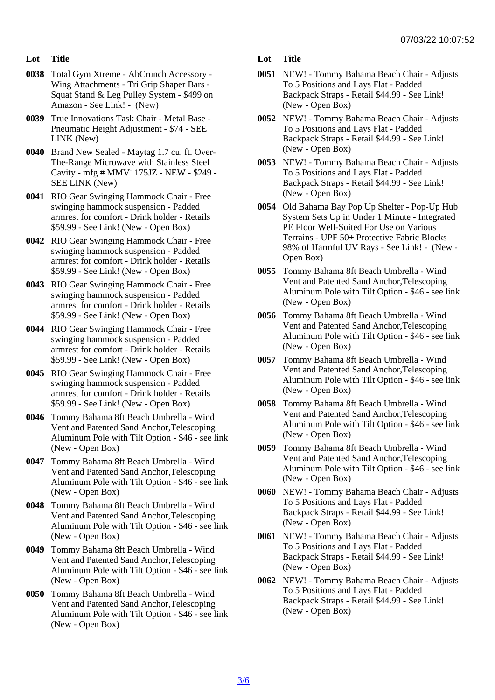- Lot Title
- 0038 Total Gym Xtreme AbCrunch Accessory Wing Attachments - Tri Grip Shaper Bars - Squat Stand & Leg Pulley System - \$499 on Amazon - See Link! - (New)
- 0039 True Innovations Task Chair Metal Base Pneumatic Height Adjustment - \$74 - SEE LINK (New)
- 0040 Brand New Sealed Maytag 1.7 cu. ft. Over-The-Range Microwave with Stainless Steel Cavity - mfg # MMV1175JZ - NEW - \$249 - SEE LINK (New)
- 0041 RIO Gear Swinging Hammock Chair Free swinging hammock suspension - Padded armrest for comfort - Drink holder - Retails \$59.99 - See Link! (New - Open Box)
- 0042 RIO Gear Swinging Hammock Chair Free swinging hammock suspension - Padded armrest for comfort - Drink holder - Retails \$59.99 - See Link! (New - Open Box)
- 0043 RIO Gear Swinging Hammock Chair Free swinging hammock suspension - Padded armrest for comfort - Drink holder - Retails \$59.99 - See Link! (New - Open Box)
- 0044 RIO Gear Swinging Hammock Chair Free swinging hammock suspension - Padded armrest for comfort - Drink holder - Retails \$59.99 - See Link! (New - Open Box)
- 0045 RIO Gear Swinging Hammock Chair Free swinging hammock suspension - Padded armrest for comfort - Drink holder - Retails \$59.99 - See Link! (New - Open Box)
- 0046 Tommy Bahama 8ft Beach Umbrella Wind Vent and Patented Sand Anchor,Telescoping Aluminum Pole with Tilt Option - \$46 - see link (New - Open Box)
- 0047 Tommy Bahama 8ft Beach Umbrella Wind Vent and Patented Sand Anchor,Telescoping Aluminum Pole with Tilt Option - \$46 - see link (New - Open Box)
- 0048 Tommy Bahama 8ft Beach Umbrella Wind Vent and Patented Sand Anchor,Telescoping Aluminum Pole with Tilt Option - \$46 - see link (New - Open Box)
- 0049 Tommy Bahama 8ft Beach Umbrella Wind Vent and Patented Sand Anchor,Telescoping Aluminum Pole with Tilt Option - \$46 - see link (New - Open Box)
- 0050 Tommy Bahama 8ft Beach Umbrella Wind Vent and Patented Sand Anchor,Telescoping Aluminum Pole with Tilt Option - \$46 - see link (New - Open Box)
- Lot Title
- 0051 NEW! Tommy Bahama Beach Chair Adjusts To 5 Positions and Lays Flat - Padded Backpack Straps - Retail \$44.99 - See Link! (New - Open Box)
- 0052 NEW! Tommy Bahama Beach Chair Adjusts To 5 Positions and Lays Flat - Padded Backpack Straps - Retail \$44.99 - See Link! (New - Open Box)
- 0053 NEW! Tommy Bahama Beach Chair Adjusts To 5 Positions and Lays Flat - Padded Backpack Straps - Retail \$44.99 - See Link! (New - Open Box)
- 0054 Old Bahama Bay Pop Up Shelter Pop-Up Hub System Sets Up in Under 1 Minute - Integrated PE Floor Well-Suited For Use on Various Terrains - UPF 50+ Protective Fabric Blocks 98% of Harmful UV Rays - See Link! - (New - Open Box)
- 0055 Tommy Bahama 8ft Beach Umbrella Wind Vent and Patented Sand Anchor,Telescoping Aluminum Pole with Tilt Option - \$46 - see link (New - Open Box)
- 0056 Tommy Bahama 8ft Beach Umbrella Wind Vent and Patented Sand Anchor,Telescoping Aluminum Pole with Tilt Option - \$46 - see link (New - Open Box)
- 0057 Tommy Bahama 8ft Beach Umbrella Wind Vent and Patented Sand Anchor,Telescoping Aluminum Pole with Tilt Option - \$46 - see link (New - Open Box)
- 0058 Tommy Bahama 8ft Beach Umbrella Wind Vent and Patented Sand Anchor,Telescoping Aluminum Pole with Tilt Option - \$46 - see link (New - Open Box)
- 0059 Tommy Bahama 8ft Beach Umbrella Wind Vent and Patented Sand Anchor,Telescoping Aluminum Pole with Tilt Option - \$46 - see link (New - Open Box)
- 0060 NEW! Tommy Bahama Beach Chair Adjusts To 5 Positions and Lays Flat - Padded Backpack Straps - Retail \$44.99 - See Link! (New - Open Box)
- 0061 NEW! Tommy Bahama Beach Chair Adjusts To 5 Positions and Lays Flat - Padded Backpack Straps - Retail \$44.99 - See Link! (New - Open Box)
- 0062 NEW! Tommy Bahama Beach Chair Adjusts To 5 Positions and Lays Flat - Padded Backpack Straps - Retail \$44.99 - See Link! (New - Open Box)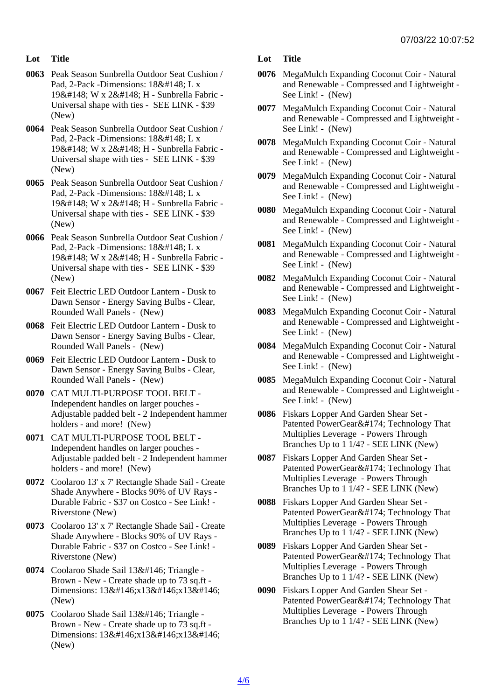- Lot Title
- 0063 Peak Season Sunbrella Outdoor Seat Cushion / Pad, 2-Pack -Dimensions: 18&#148: L x 19" W x 2" H - Sunbrella Fabric -Universal shape with ties - SEE LINK - \$39 (New)
- 0064 Peak Season Sunbrella Outdoor Seat Cushion / Pad, 2-Pack -Dimensions: 18&#148: L x 19" W x 2" H - Sunbrella Fabric -Universal shape with ties - SEE LINK - \$39 (New)
- 0065 Peak Season Sunbrella Outdoor Seat Cushion / Pad, 2-Pack -Dimensions: 18" L x 19" W x 2" H - Sunbrella Fabric -Universal shape with ties - SEE LINK - \$39 (New)
- 0066 Peak Season Sunbrella Outdoor Seat Cushion / Pad, 2-Pack -Dimensions: 18" L x 19" W x 2" H - Sunbrella Fabric -Universal shape with ties - SEE LINK - \$39 (New)
- 0067 Feit Electric LED Outdoor Lantern Dusk to Dawn Sensor - Energy Saving Bulbs - Clear, Rounded Wall Panels - (New)
- 0068 Feit Electric LED Outdoor Lantern Dusk to Dawn Sensor - Energy Saving Bulbs - Clear, Rounded Wall Panels - (New)
- 0069 Feit Electric LED Outdoor Lantern Dusk to Dawn Sensor - Energy Saving Bulbs - Clear, Rounded Wall Panels - (New)
- 0070 CAT MULTI-PURPOSE TOOL BELT Independent handles on larger pouches - Adjustable padded belt - 2 Independent hammer holders - and more! (New)
- 0071 CAT MULTI-PURPOSE TOOL BELT Independent handles on larger pouches - Adjustable padded belt - 2 Independent hammer holders - and more! (New)
- 0072 Coolaroo 13' x 7' Rectangle Shade Sail Create Shade Anywhere - Blocks 90% of UV Rays - Durable Fabric - \$37 on Costco - See Link! - Riverstone (New)
- 0073 Coolaroo 13' x 7' Rectangle Shade Sail Create Shade Anywhere - Blocks 90% of UV Rays - Durable Fabric - \$37 on Costco - See Link! - Riverstone (New)
- 0074 Coolaroo Shade Sail 13' Triangle -Brown - New - Create shade up to 73 sq.ft - Dimensions: 13'x13'x13' (New)
- 0075 Coolaroo Shade Sail 13' Triangle -Brown - New - Create shade up to 73 sq.ft - Dimensions: 13'x13'x13' (New)
- Lot Title
- 0076 MegaMulch Expanding Coconut Coir Natural and Renewable - Compressed and Lightweight - See Link! - (New)
- 0077 MegaMulch Expanding Coconut Coir Natural and Renewable - Compressed and Lightweight - See Link! - (New)
- 0078 MegaMulch Expanding Coconut Coir Natural and Renewable - Compressed and Lightweight - See Link! - (New)
- 0079 MegaMulch Expanding Coconut Coir Natural and Renewable - Compressed and Lightweight - See Link! - (New)
- 0080 MegaMulch Expanding Coconut Coir Natural and Renewable - Compressed and Lightweight - See Link! - (New)
- 0081 MegaMulch Expanding Coconut Coir Natural and Renewable - Compressed and Lightweight - See Link! - (New)
- 0082 MegaMulch Expanding Coconut Coir Natural and Renewable - Compressed and Lightweight - See Link! - (New)
- 0083 MegaMulch Expanding Coconut Coir Natural and Renewable - Compressed and Lightweight - See Link! - (New)
- 0084 MegaMulch Expanding Coconut Coir Natural and Renewable - Compressed and Lightweight - See Link! - (New)
- 0085 MegaMulch Expanding Coconut Coir Natural and Renewable - Compressed and Lightweight - See Link! - (New)
- 0086 Fiskars Lopper And Garden Shear Set Patented PowerGear® Technology That Multiplies Leverage - Powers Through Branches Up to 1 1/4? - SEE LINK (New)
- 0087 Fiskars Lopper And Garden Shear Set Patented PowerGear® Technology That Multiplies Leverage - Powers Through Branches Up to 1 1/4? - SEE LINK (New)
- 0088 Fiskars Lopper And Garden Shear Set Patented PowerGear® Technology That Multiplies Leverage - Powers Through Branches Up to 1 1/4? - SEE LINK (New)
- 0089 Fiskars Lopper And Garden Shear Set Patented PowerGear® Technology That Multiplies Leverage - Powers Through Branches Up to 1 1/4? - SEE LINK (New)
- 0090 Fiskars Lopper And Garden Shear Set Patented PowerGear® Technology That Multiplies Leverage - Powers Through Branches Up to 1 1/4? - SEE LINK (New)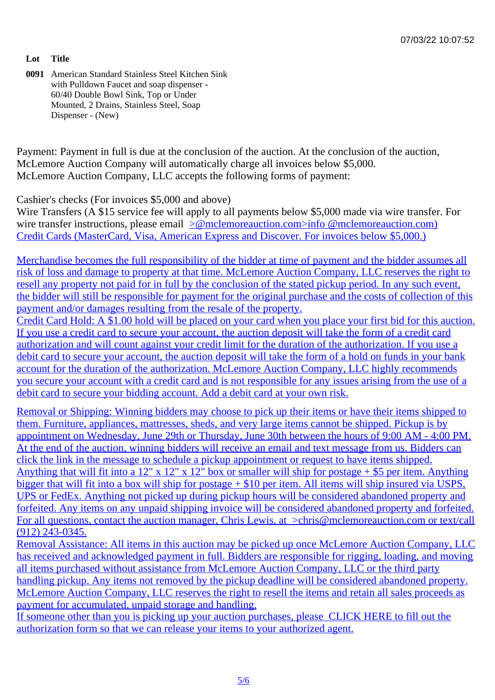Lot Title

0091 American Standard Stainless Steel Kitchen Sink with Pulldown Faucet and soap dispenser - 60/40 Double Bowl Sink, Top or Under Mounted, 2 Drains, Stainless Steel, Soap Dispenser - (New)

Payment: Payment in full is due at the conclusion of the auction. At the conclusion of the auction, McLemore Auction Company will automatically charge all invoices below \$5,000. McLemore Auction Company, LLC accepts the following forms of payment:

Cashier's checks (For invoices \$5,000 and above) Wire Transfers (A \$15 service fee will apply to all payments below \$5,000 made via wire transfer. For wire transfer instructions, please email molemoreauction.com>info @mclemoreauction.com) Credit Cards (MasterCard, Visa, American Express and Discover. For invoices below \$5,000.)

Merchandise becomes the full resp[onsibility of the bidder at time of payment and the bidd](mailto:info@mclemoreauction.com</c:alink)er assumes a [risk of loss and damage to property at that time. McLemore Auction Company, LLC re](mailto:info@mclemoreauction.com</c:alink)serves the right to resell any property not paid for in full by the conclusion of the stated pickup period. In any such event, [the bidder will still be responsible for payment for the original purchase and the costs of collecti](mailto:info@mclemoreauction.com</c:alink)on of this payment and/or damages resulting from the resale of the property.

[Credit Card Hold: A \\$1.00 hold will be placed on your card when you place your first bid for this](mailto:info@mclemoreauction.com</c:alink) auction. [If you use a credit card to secure your account, the auction deposit will take the form of a credit c](mailto:info@mclemoreauction.com</c:alink)ard [authorization and will count against your credit limit for the d](mailto:info@mclemoreauction.com</c:alink)uration of the authorization. If you use a [debit card to secure your account, the auction deposit will take the form of a hold on funds in you](mailto:info@mclemoreauction.com</c:alink)r bank [account for the duration of the authorization. McLemore Auction Company, LLC highly reco](mailto:info@mclemoreauction.com</c:alink)mmends [you secure your account with a credit card and is not responsible for any issues arising from](mailto:info@mclemoreauction.com</c:alink) the use of [debit card to secure your bidding account. Add a debit card at your own risk.](mailto:info@mclemoreauction.com</c:alink)

[Removal or Shipping: Winning bidders may choose to pick up their items or have their items](mailto:info@mclemoreauction.com</c:alink) shipped to [them. Furniture, appliances, mattresses, sheds, and very large items cannot be shipped. Picku](mailto:info@mclemoreauction.com</c:alink)p is by [appointment on Wednesday, June 29th or Thursday, June 30th betwe](mailto:info@mclemoreauction.com</c:alink)en the hours of 9:00 AM - 4:00 PI [At the end of the auction, winning bidders will receive an email and text message from us. Bidd](mailto:info@mclemoreauction.com</c:alink)ers can [click the link in the message to schedule a pickup appointment or request to have items sh](mailto:info@mclemoreauction.com</c:alink)ipped. Anything that will fit into a 12" x 12" x 12" box or smaller will ship for postage  $+$  \$5 per item. Anything [bigger that will fit into a box will ship for postage + \\$10 per item. All items will ship insured via](mailto:info@mclemoreauction.com</c:alink) USPS, [UPS or FedEx. Anything not picked up during pickup hours will be considered abandon](mailto:info@mclemoreauction.com</c:alink)ed property and [forfeited. Any items on any unpaid shipping invoice will be considered abandoned property and](mailto:info@mclemoreauction.com</c:alink) forfeited For all questions, contact the auction manager, Chris Lewis, at a @mclemoreauction.com or text/call (912) 243-0345.

[Removal Assistance: All items in this auction may be picked up once McLemore Auction Compa](mailto:info@mclemoreauction.com</c:alink)ny, LL [has received and acknowledged payment in full. Bidders a](mailto:info@mclemoreauction.com</c:alink)[re responsible for rigging, loading, and](mailto:chris@mclemoreauction.com</c:alink) movir [all items purcha](mailto:chris@mclemoreauction.com</c:alink)sed without assistance from McLemore Auction Company, LLC or the third party [handling pickup. Any items not removed by the pickup deadline will be considered abandoned pr](mailto:chris@mclemoreauction.com</c:alink)operty. [McLemore Auction Company, LLC reserves the right to resell the items and retain all sales proc](mailto:chris@mclemoreauction.com</c:alink)eeds as payment for accumulated, unpaid storage and handling.

If someone other than you is picking up your auction purchases, please HERE to fill out the [authorization form so that we can release your items to your authorized agent.](mailto:chris@mclemoreauction.com</c:alink)